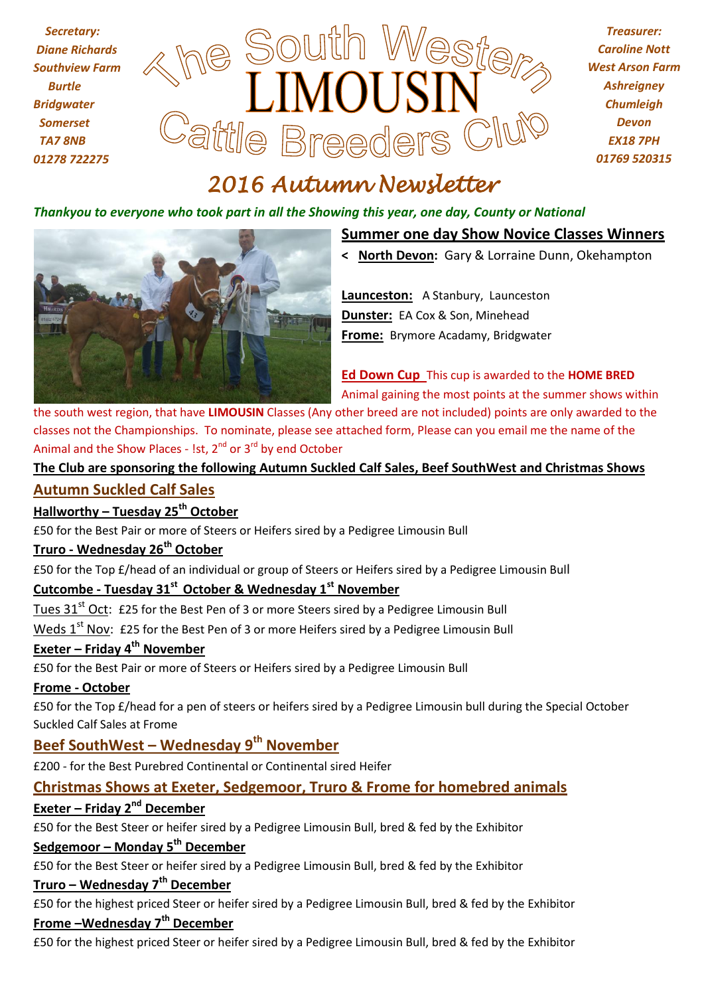

*Treasurer: Caroline Nott West Arson Farm Ashreigney Chumleigh Devon EX18 7PH 01769 520315*

# *2016 Autumn Newsletter*

#### *Thankyou to everyone who took part in all the Showing this year, one day, County or National*



#### **Summer one day Show Novice Classes Winners**

**< North Devon:** Gary & Lorraine Dunn, Okehampton

**Launceston:** A Stanbury, Launceston **Dunster:** EA Cox & Son, Minehead **Frome:** Brymore Acadamy, Bridgwater

**Ed Down Cup** This cup is awarded to the **HOME BRED** Animal gaining the most points at the summer shows within

the south west region, that have **LIMOUSIN** Classes (Any other breed are not included) points are only awarded to the classes not the Championships. To nominate, please see attached form, Please can you email me the name of the Animal and the Show Places - 1st, 2<sup>nd</sup> or 3<sup>rd</sup> by end October

#### **The Club are sponsoring the following Autumn Suckled Calf Sales, Beef SouthWest and Christmas Shows**

#### **Autumn Suckled Calf Sales**

# **Hallworthy – Tuesday 25th October**

£50 for the Best Pair or more of Steers or Heifers sired by a Pedigree Limousin Bull

#### **Truro - Wednesday 26th October**

£50 for the Top £/head of an individual or group of Steers or Heifers sired by a Pedigree Limousin Bull

#### **Cutcombe - Tuesday 31st October & Wednesday 1st November**

Tues 31<sup>st</sup> Oct: £25 for the Best Pen of 3 or more Steers sired by a Pedigree Limousin Bull

Weds 1<sup>st</sup> Nov: £25 for the Best Pen of 3 or more Heifers sired by a Pedigree Limousin Bull

#### **Exeter – Friday 4th November**

£50 for the Best Pair or more of Steers or Heifers sired by a Pedigree Limousin Bull

#### **Frome - October**

£50 for the Top £/head for a pen of steers or heifers sired by a Pedigree Limousin bull during the Special October Suckled Calf Sales at Frome

# **Beef SouthWest – Wednesday 9th November**

£200 - for the Best Purebred Continental or Continental sired Heifer

## **Christmas Shows at Exeter, Sedgemoor, Truro & Frome for homebred animals**

# **Exeter – Friday 2nd December**

£50 for the Best Steer or heifer sired by a Pedigree Limousin Bull, bred & fed by the Exhibitor

#### **Sedgemoor – Monday 5th December**

£50 for the Best Steer or heifer sired by a Pedigree Limousin Bull, bred & fed by the Exhibitor

## **Truro – Wednesday 7th December**

£50 for the highest priced Steer or heifer sired by a Pedigree Limousin Bull, bred & fed by the Exhibitor **Frome –Wednesday 7th December**

£50 for the highest priced Steer or heifer sired by a Pedigree Limousin Bull, bred & fed by the Exhibitor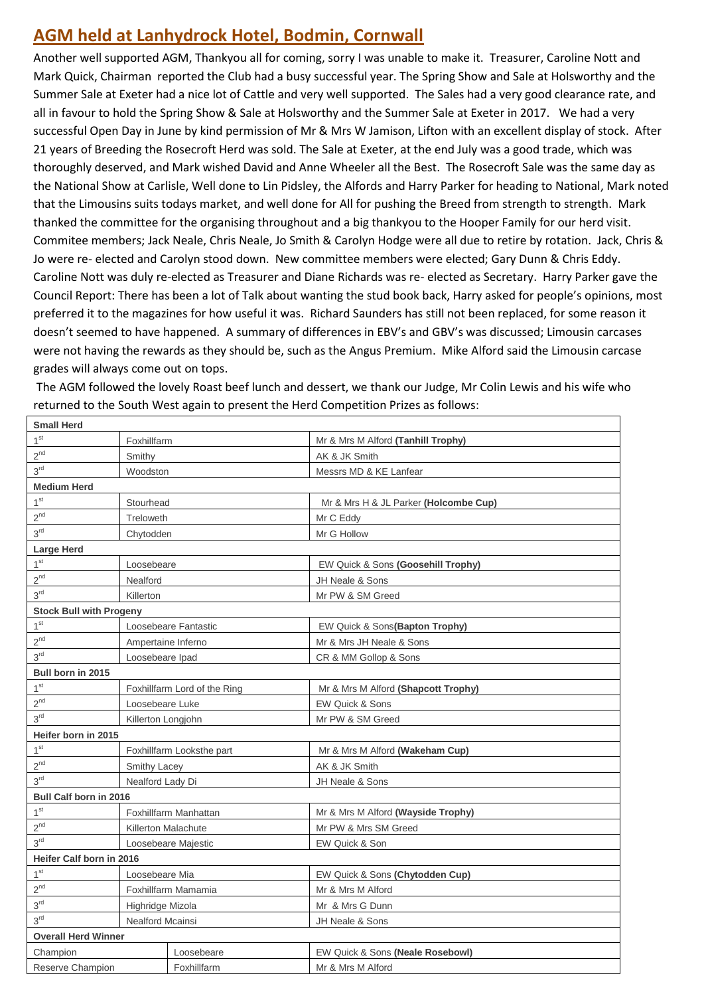# **AGM held at Lanhydrock Hotel, Bodmin, Cornwall**

Another well supported AGM, Thankyou all for coming, sorry I was unable to make it. Treasurer, Caroline Nott and Mark Quick, Chairman reported the Club had a busy successful year. The Spring Show and Sale at Holsworthy and the Summer Sale at Exeter had a nice lot of Cattle and very well supported. The Sales had a very good clearance rate, and all in favour to hold the Spring Show & Sale at Holsworthy and the Summer Sale at Exeter in 2017. We had a very successful Open Day in June by kind permission of Mr & Mrs W Jamison, Lifton with an excellent display of stock. After 21 years of Breeding the Rosecroft Herd was sold. The Sale at Exeter, at the end July was a good trade, which was thoroughly deserved, and Mark wished David and Anne Wheeler all the Best. The Rosecroft Sale was the same day as the National Show at Carlisle, Well done to Lin Pidsley, the Alfords and Harry Parker for heading to National, Mark noted that the Limousins suits todays market, and well done for All for pushing the Breed from strength to strength. Mark thanked the committee for the organising throughout and a big thankyou to the Hooper Family for our herd visit. Commitee members; Jack Neale, Chris Neale, Jo Smith & Carolyn Hodge were all due to retire by rotation. Jack, Chris & Jo were re- elected and Carolyn stood down. New committee members were elected; Gary Dunn & Chris Eddy. Caroline Nott was duly re-elected as Treasurer and Diane Richards was re- elected as Secretary. Harry Parker gave the Council Report: There has been a lot of Talk about wanting the stud book back, Harry asked for people's opinions, most preferred it to the magazines for how useful it was. Richard Saunders has still not been replaced, for some reason it doesn't seemed to have happened. A summary of differences in EBV's and GBV's was discussed; Limousin carcases were not having the rewards as they should be, such as the Angus Premium. Mike Alford said the Limousin carcase grades will always come out on tops.

The AGM followed the lovely Roast beef lunch and dessert, we thank our Judge, Mr Colin Lewis and his wife who returned to the South West again to present the Herd Competition Prizes as follows: **Small Herd**

| 1 <sup>st</sup>                | Foxhillfarm                  |                           | Mr & Mrs M Alford (Tanhill Trophy)    |  |  |
|--------------------------------|------------------------------|---------------------------|---------------------------------------|--|--|
| $2^{nd}$                       | Smithy                       |                           | AK & JK Smith                         |  |  |
| 3 <sup>rd</sup>                | Woodston                     |                           | Messrs MD & KE Lanfear                |  |  |
| <b>Medium Herd</b>             |                              |                           |                                       |  |  |
| 1 <sup>st</sup>                | Stourhead                    |                           | Mr & Mrs H & JL Parker (Holcombe Cup) |  |  |
| $2^{nd}$                       | Treloweth                    |                           | Mr C Eddy                             |  |  |
| 3 <sup>rd</sup>                | Chytodden                    |                           | Mr G Hollow                           |  |  |
| <b>Large Herd</b>              |                              |                           |                                       |  |  |
| 1 <sup>st</sup>                | Loosebeare                   |                           | EW Quick & Sons (Goosehill Trophy)    |  |  |
| $2^{nd}$                       | Nealford                     |                           | JH Neale & Sons                       |  |  |
| 3 <sup>rd</sup>                | Killerton                    |                           | Mr PW & SM Greed                      |  |  |
| <b>Stock Bull with Progeny</b> |                              |                           |                                       |  |  |
| 1 <sup>st</sup>                | Loosebeare Fantastic         |                           | EW Quick & Sons(Bapton Trophy)        |  |  |
| $2^{nd}$                       | Ampertaine Inferno           |                           | Mr & Mrs JH Neale & Sons              |  |  |
| 3 <sup>rd</sup>                | Loosebeare Ipad              |                           | CR & MM Gollop & Sons                 |  |  |
| Bull born in 2015              |                              |                           |                                       |  |  |
| 1 <sup>st</sup>                | Foxhillfarm Lord of the Ring |                           | Mr & Mrs M Alford (Shapcott Trophy)   |  |  |
| $2^{nd}$                       | Loosebeare Luke              |                           | <b>EW Quick &amp; Sons</b>            |  |  |
| 3 <sup>rd</sup>                | Killerton Longjohn           |                           | Mr PW & SM Greed                      |  |  |
| Heifer born in 2015            |                              |                           |                                       |  |  |
| 1 <sup>st</sup>                |                              | Foxhillfarm Looksthe part | Mr & Mrs M Alford (Wakeham Cup)       |  |  |
| $2^{nd}$                       | <b>Smithy Lacey</b>          |                           | AK & JK Smith                         |  |  |
| 3 <sup>rd</sup>                | Nealford Lady Di             |                           | JH Neale & Sons                       |  |  |
| <b>Bull Calf born in 2016</b>  |                              |                           |                                       |  |  |
| 1 <sup>st</sup>                | Foxhillfarm Manhattan        |                           | Mr & Mrs M Alford (Wayside Trophy)    |  |  |
| $2^{\text{nd}}$                | Killerton Malachute          |                           | Mr PW & Mrs SM Greed                  |  |  |
| $3^{\rm rd}$                   | Loosebeare Majestic          |                           | EW Quick & Son                        |  |  |
| Heifer Calf born in 2016       |                              |                           |                                       |  |  |
| 1 <sup>st</sup>                | Loosebeare Mia               |                           | EW Quick & Sons (Chytodden Cup)       |  |  |
| $2^{nd}$                       | Foxhillfarm Mamamia          |                           | Mr & Mrs M Alford                     |  |  |
| $3^{\rm rd}$                   | Highridge Mizola             |                           | Mr & Mrs G Dunn                       |  |  |
| 3 <sup>rd</sup>                | Nealford Mcainsi             |                           | JH Neale & Sons                       |  |  |
| <b>Overall Herd Winner</b>     |                              |                           |                                       |  |  |
| Champion                       |                              | Loosebeare                | EW Quick & Sons (Neale Rosebowl)      |  |  |
| Reserve Champion               |                              | Foxhillfarm               | Mr & Mrs M Alford                     |  |  |